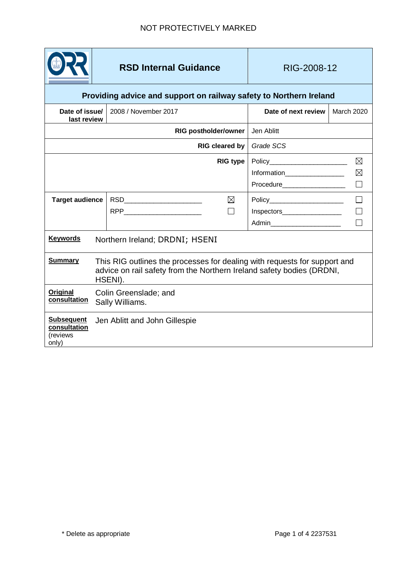|                                                                    |                                                                                                                                                               | <b>RSD Internal Guidance</b> | RIG-2008-12                                                                                                     |            |  |
|--------------------------------------------------------------------|---------------------------------------------------------------------------------------------------------------------------------------------------------------|------------------------------|-----------------------------------------------------------------------------------------------------------------|------------|--|
| Providing advice and support on railway safety to Northern Ireland |                                                                                                                                                               |                              |                                                                                                                 |            |  |
| Date of issue/<br>last review                                      |                                                                                                                                                               | 2008 / November 2017         | Date of next review                                                                                             | March 2020 |  |
| <b>RIG postholder/owner</b>                                        |                                                                                                                                                               |                              | Jen Ablitt                                                                                                      |            |  |
| RIG cleared by                                                     |                                                                                                                                                               |                              | Grade SCS                                                                                                       |            |  |
| <b>RIG type</b>                                                    |                                                                                                                                                               |                              | $\boxtimes$<br>Policy___________________________<br>$\boxtimes$<br>Information<br>Procedure____________________ |            |  |
| <b>Target audience</b>                                             |                                                                                                                                                               | $\boxtimes$                  | Policy__________________________<br>Inspectors___________________<br>Admin_________________________             |            |  |
| <b>Keywords</b><br>Northern Ireland; DRDNI; HSENI                  |                                                                                                                                                               |                              |                                                                                                                 |            |  |
| <b>Summary</b>                                                     | This RIG outlines the processes for dealing with requests for support and<br>advice on rail safety from the Northern Ireland safety bodies (DRDNI,<br>HSENI). |                              |                                                                                                                 |            |  |
| <b>Original</b><br>consultation                                    | Colin Greenslade; and<br>Sally Williams.                                                                                                                      |                              |                                                                                                                 |            |  |
| <b>Subsequent</b><br>consultation<br>(reviews<br>only)             | Jen Ablitt and John Gillespie                                                                                                                                 |                              |                                                                                                                 |            |  |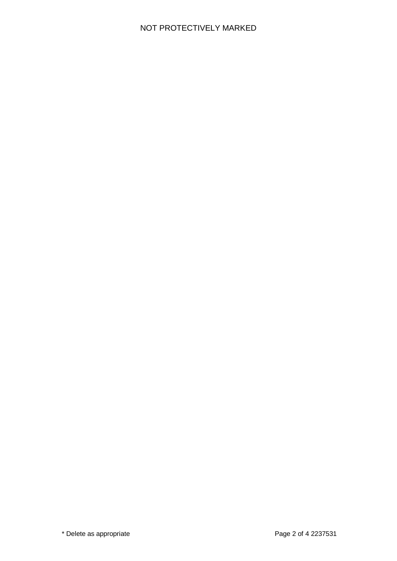## NOT PROTECTIVELY MARKED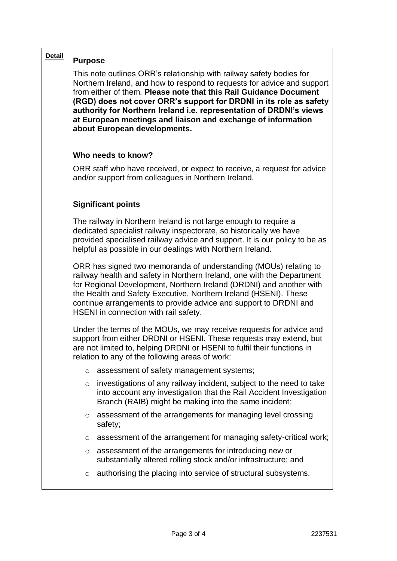## **Detail Purpose**

This note outlines ORR's relationship with railway safety bodies for Northern Ireland, and how to respond to requests for advice and support from either of them. **Please note that this Rail Guidance Document (RGD) does not cover ORR's support for DRDNI in its role as safety authority for Northern Ireland i.e. representation of DRDNI's views at European meetings and liaison and exchange of information about European developments.** 

## **Who needs to know?**

ORR staff who have received, or expect to receive, a request for advice and/or support from colleagues in Northern Ireland.

## **Significant points**

The railway in Northern Ireland is not large enough to require a dedicated specialist railway inspectorate, so historically we have provided specialised railway advice and support. It is our policy to be as helpful as possible in our dealings with Northern Ireland.

ORR has signed two memoranda of understanding (MOUs) relating to railway health and safety in Northern Ireland, one with the Department for Regional Development, Northern Ireland (DRDNI) and another with the Health and Safety Executive, Northern Ireland (HSENI). These continue arrangements to provide advice and support to DRDNI and HSENI in connection with rail safety.

Under the terms of the MOUs, we may receive requests for advice and support from either DRDNI or HSENI. These requests may extend, but are not limited to, helping DRDNI or HSENI to fulfil their functions in relation to any of the following areas of work:

- o assessment of safety management systems;
- o investigations of any railway incident, subject to the need to take into account any investigation that the Rail Accident Investigation Branch (RAIB) might be making into the same incident;
- o assessment of the arrangements for managing level crossing safety;
- o assessment of the arrangement for managing safety-critical work;
- o assessment of the arrangements for introducing new or substantially altered rolling stock and/or infrastructure; and
- o authorising the placing into service of structural subsystems.